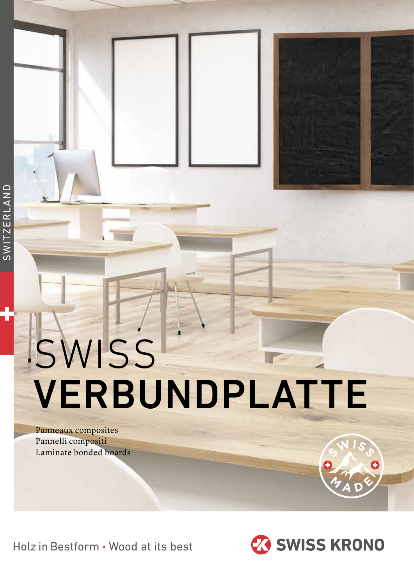# SWISS VERBUNDPLATTE

Panneaux composites Pannelli compositi Laminate bonded boards

Holz in Bestform • Wood at its best

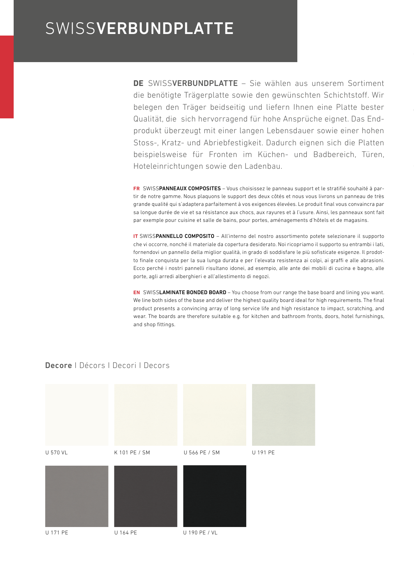# **SWISSVERBUNDPLATTE**

**DE** SWISSVERBUNDPLATTE – Sie wählen aus unserem Sortiment die benötigte Trägerplatte sowie den gewünschten Schichtstoff. Wir belegen den Träger beidseitig und liefern Ihnen eine Platte bester Qualität, die sich hervorragend für hohe Ansprüche eignet. Das Endprodukt überzeugt mit einer langen Lebensdauer sowie einer hohen Stoss-, Kratz- und Abriebfestigkeit. Dadurch eignen sich die Platten beispielsweise für Fronten im Küchen- und Badbereich, Türen, Hoteleinrichtungen sowie den Ladenbau.

**FR** SWISSPANNEAUX COMPOSITES – Vous choisissez le panneau support et le stratifié souhaité à partir de notre gamme. Nous plaquons le support des deux côtés et nous vous livrons un panneau de très grande qualité qui s'adaptera parfaitement à vos exigences élevées. Le produit final vous convaincra par sa longue durée de vie et sa résistance aux chocs, aux rayures et à l'usure. Ainsi, les panneaux sont fait par exemple pour cuisine et salle de bains, pour portes, aménagements d'hôtels et de magasins.

**IT** SWISSPANNELLO COMPOSITO – All'interno del nostro assortimento potete selezionare il supporto che vi occorre, nonché il materiale da copertura desiderato. Noi ricopriamo il supporto su entrambi i lati, fornendovi un pannello della miglior qualità, in grado di soddisfare le più sofisticate esigenze. Il prodotto finale conquista per la sua lunga durata e per l'elevata resistenza ai colpi, ai graffi e alle abrasioni. Ecco perché i nostri pannelli risultano idonei, ad esempio, alle ante dei mobili di cucina e bagno, alle porte, agli arredi alberghieri e all'allestimento di negozi.

**EN** SWISSLAMINATE BONDED BOARD – You choose from our range the base board and lining you want. We line both sides of the base and deliver the highest quality board ideal for high requirements. The final product presents a convincing array of long service life and high resistance to impact, scratching, and wear. The boards are therefore suitable e.g. for kitchen and bathroom fronts, doors, hotel furnishings, and shop fittings.



#### Decore I Décors I Decori I Decors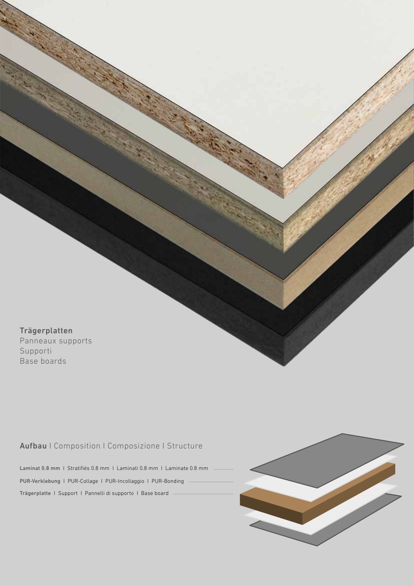

#### Aufbau I Composition I Composizione I Structure

Laminat 0.8 mm I Stratifiés 0.8 mm I Laminati 0.8 mm I Laminate 0.8 mm PUR-Verklebung I PUR-Collage I PUR-Incollaggio I PUR-Bonding Trägerplatte I Support I Pannelli di supporto I Base board

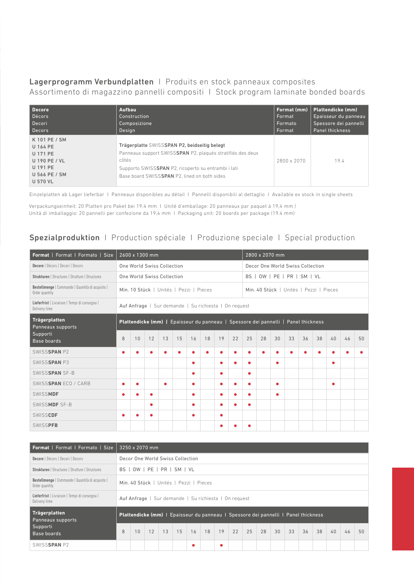## Lagerprogramm Verbundplatten I Produits en stock panneaux composites

#### Assortimento di magazzino pannelli compositi I Stock program laminate bonded boards

| Decore                                                                                                                                    | Aufbau                                                                                                                                                                                                                     | Format (mm) | Plattendicke (mm)     |
|-------------------------------------------------------------------------------------------------------------------------------------------|----------------------------------------------------------------------------------------------------------------------------------------------------------------------------------------------------------------------------|-------------|-----------------------|
| Décors                                                                                                                                    | Construction                                                                                                                                                                                                               | Format      | Epaisseur du panneau  |
| l Decori                                                                                                                                  | Composizione                                                                                                                                                                                                               | Formato     | Spessore dei pannelli |
| Decors                                                                                                                                    | Design                                                                                                                                                                                                                     | Format      | Panel thickness       |
| K 101 PE / SM<br><b>U 164 PE</b><br><b>U 171 PE</b><br><b>U 190 PE / VL</b><br><b>U 191 PE</b><br><b>U 566 PE / SM</b><br><b>U 570 VL</b> | Trägerplatte SWISSSPAN P2, beidseitig belegt<br>Panneaux support SWISSSPAN P2, plaqués stratifiés des deux<br>côtés<br>Supporto SWISSSPAN P2, ricoperto su entrambi i lati<br>Base board SWISSSPAN P2. lined on both sides | 2800 x 2070 | 19.4                  |

Einzelplatten ab Lager lieferbar I Panneaux disponibles au détail I Pannelli disponibili al dettaglio I Available ex stock in single sheets

Verpackungseinheit: 20 Platten pro Paket bei 19.4 mm I Unité d'emballage: 20 panneaux par paquet à 19,4 mm | Unità di imballaggio: 20 pannelli per confezione da 19,4 mm I Packaging unit: 20 boards per package (19.4 mm)

### Spezialproduktion | Production spéciale | Produzione speciale | Special production

| <b>Format</b>   Format   Formato   Size                            | 2600 x 1300 mm                                                                     |                            |           |    |                                         |    |    |    |                                         |           | 2800 x 2070 mm |           |    |    |    |    |    |    |  |  |  |
|--------------------------------------------------------------------|------------------------------------------------------------------------------------|----------------------------|-----------|----|-----------------------------------------|----|----|----|-----------------------------------------|-----------|----------------|-----------|----|----|----|----|----|----|--|--|--|
| Decore   Décors   Decori   Decors                                  |                                                                                    | One World Swiss Collection |           |    |                                         |    |    |    | Decor One World Swiss Collection        |           |                |           |    |    |    |    |    |    |  |  |  |
| <b>Strukturen   Structures   Strutture   Structures</b>            |                                                                                    | One World Swiss Collection |           |    |                                         |    |    |    | BS   OW   PE   PR   SM   VL             |           |                |           |    |    |    |    |    |    |  |  |  |
| Bestellmenge   Commande   Quantità di acquisto  <br>Order quantity |                                                                                    |                            |           |    | Min. 10 Stück   Unités   Pezzi   Pieces |    |    |    | Min. 40 Stück   Unités   Pezzi   Pieces |           |                |           |    |    |    |    |    |    |  |  |  |
| Lieferfrist   Livraison   Tempi di consegna  <br>Delivery time     | Auf Anfrage   Sur demande   Su richiesta   On request                              |                            |           |    |                                         |    |    |    |                                         |           |                |           |    |    |    |    |    |    |  |  |  |
| <b>Trägerplatten</b><br>Panneaux supports<br>Supporti              | Plattendicke (mm)   Epaisseur du panneau   Spessore dei pannelli   Panel thickness |                            |           |    |                                         |    |    |    |                                         |           |                |           |    |    |    |    |    |    |  |  |  |
| Base boards                                                        | 8                                                                                  | 10                         | 12        | 13 | 15                                      | 16 | 18 | 19 | 22                                      | 25        | 28             | 30        | 33 | 36 | 38 | 40 | 46 | 50 |  |  |  |
| SWISSSPAN P2                                                       | $\bullet$                                                                          | ٠                          | ٠         |    |                                         |    |    | ۰  | $\bullet$                               | ۰         | $\bullet$      | ٠         | ٠  |    | ●  |    |    |    |  |  |  |
| SWISSSPAN P3                                                       |                                                                                    |                            |           |    |                                         | ٠  |    | ۰  | $\bullet$                               | ۰         |                | $\bullet$ |    |    |    | ٠  |    |    |  |  |  |
| SWISSSPAN SF-B                                                     |                                                                                    |                            |           |    |                                         | ٠  |    | ٠  |                                         | ۰         |                |           |    |    |    |    |    |    |  |  |  |
| SWISSSPAN ECO / CARB                                               | ٠                                                                                  | ٠                          |           | ٠  |                                         | ۰  |    | ۰  |                                         | $\bullet$ |                | $\bullet$ |    |    |    | ٠  |    |    |  |  |  |
| SWISSMDF                                                           | $\bullet$                                                                          | $\bullet$                  | $\bullet$ |    |                                         | ۰  |    | ۰  | ۰                                       | ۰         |                | $\bullet$ |    |    |    |    |    |    |  |  |  |
| SWISSMDF SF-B                                                      |                                                                                    |                            | ٠         |    |                                         |    |    | ۰  |                                         | $\bullet$ |                |           |    |    |    |    |    |    |  |  |  |
| SWISSCDF                                                           | $\bullet$                                                                          | e                          | ٠         |    |                                         |    |    | ٠  |                                         |           |                |           |    |    |    |    |    |    |  |  |  |
| SWISSPFB                                                           |                                                                                    |                            |           |    |                                         |    |    | ٠  |                                         | ٠         |                |           |    |    |    |    |    |    |  |  |  |

| Format   Format   Formato   Size                                   | 3250 x 2070 mm                   |                                                                                    |    |    |    |    |    |           |    |    |    |    |    |    |    |    |    |    |
|--------------------------------------------------------------------|----------------------------------|------------------------------------------------------------------------------------|----|----|----|----|----|-----------|----|----|----|----|----|----|----|----|----|----|
| <b>Decore</b>   Décors   Decori   Decors                           | Decor One World Swiss Collection |                                                                                    |    |    |    |    |    |           |    |    |    |    |    |    |    |    |    |    |
| <b>Strukturen</b>   Structures   Strutture   Structures            | BS   OW   PE   PR   SM   VL      |                                                                                    |    |    |    |    |    |           |    |    |    |    |    |    |    |    |    |    |
| Bestellmenge   Commande   Quantità di acquisto  <br>Order quantity |                                  | Min. 40 Stück   Unités   Pezzi   Pieces                                            |    |    |    |    |    |           |    |    |    |    |    |    |    |    |    |    |
| Lieferfrist   Livraison   Tempi di consegna  <br>Delivery time     |                                  | Auf Anfrage   Sur demande   Su richiesta   On request                              |    |    |    |    |    |           |    |    |    |    |    |    |    |    |    |    |
| <b>Trägerplatten</b><br>Panneaux supports                          |                                  | Plattendicke (mm)   Epaisseur du panneau   Spessore dei pannelli   Panel thickness |    |    |    |    |    |           |    |    |    |    |    |    |    |    |    |    |
| Supporti<br>Base boards                                            | 8                                | 10                                                                                 | 12 | 13 | 15 | 16 | 18 | 19        | 22 | 25 | 28 | 30 | 33 | 36 | 38 | 40 | 46 | 50 |
| SWISSSPAN P2                                                       |                                  |                                                                                    |    |    |    |    |    | $\bullet$ |    |    |    |    |    |    |    |    |    |    |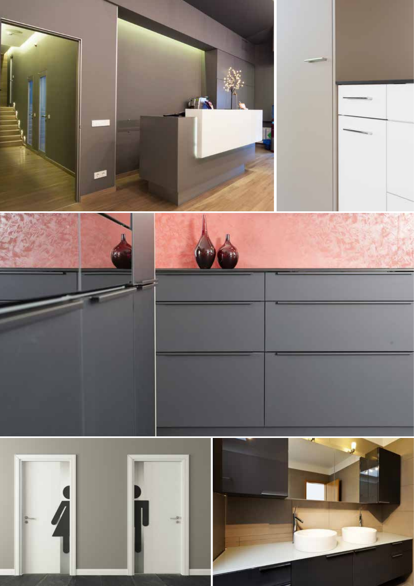